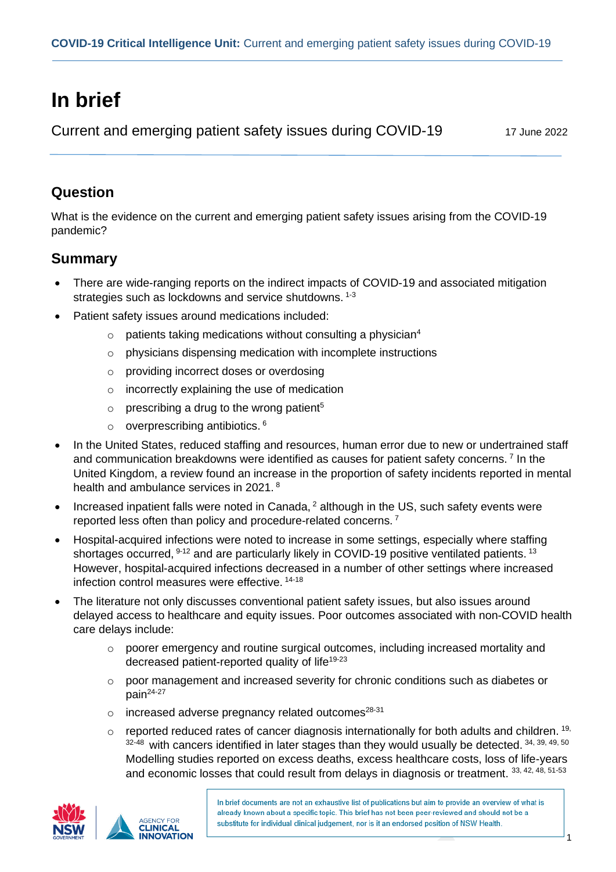# **In brief**

Current and emerging patient safety issues during COVID-19 17 June 2022

## **Question**

What is the evidence on the current and emerging patient safety issues arising from the COVID-19 pandemic?

### **Summary**

- There are wide-ranging reports on the indirect impacts of COVID-19 and associated mitigation strategies such as lockdowns and service shutdowns. <sup>1-3</sup>
- Patient safety issues around medications included:
	- $\circ$  patients taking medications without consulting a physician<sup>4</sup>
	- o physicians dispensing medication with incomplete instructions
	- o providing incorrect doses or overdosing
	- o incorrectly explaining the use of medication
	- $\circ$  prescribing a drug to the wrong patient<sup>5</sup>
	- $\circ$  overprescribing antibiotics.  $6$
- In the United States, reduced staffing and resources, human error due to new or undertrained staff and communication breakdowns were identified as causes for patient safety concerns. <sup>7</sup> In the United Kingdom, a review found an increase in the proportion of safety incidents reported in mental health and ambulance services in 2021.<sup>8</sup>
- Increased inpatient falls were noted in Canada, <sup>2</sup> although in the US, such safety events were reported less often than policy and procedure-related concerns. <sup>7</sup>
- Hospital-acquired infections were noted to increase in some settings, especially where staffing shortages occurred, <sup>9-12</sup> and are particularly likely in COVID-19 positive ventilated patients. <sup>13</sup> However, hospital-acquired infections decreased in a number of other settings where increased infection control measures were effective. 14-18
- The literature not only discusses conventional patient safety issues, but also issues around delayed access to healthcare and equity issues. Poor outcomes associated with non-COVID health care delays include:
	- o poorer emergency and routine surgical outcomes, including increased mortality and decreased patient-reported quality of life<sup>19-23</sup>
	- o poor management and increased severity for chronic conditions such as diabetes or  $pain<sup>24-27</sup>$
	- $\circ$  increased adverse pregnancy related outcomes<sup>28-31</sup>
	- $\circ$  reported reduced rates of cancer diagnosis internationally for both adults and children. <sup>19,</sup> 32-48 with cancers identified in later stages than they would usually be detected. 34, 39, 49, 50 Modelling studies reported on excess deaths, excess healthcare costs, loss of life-years and economic losses that could result from delays in diagnosis or treatment. 33, 42, 48, 51-53



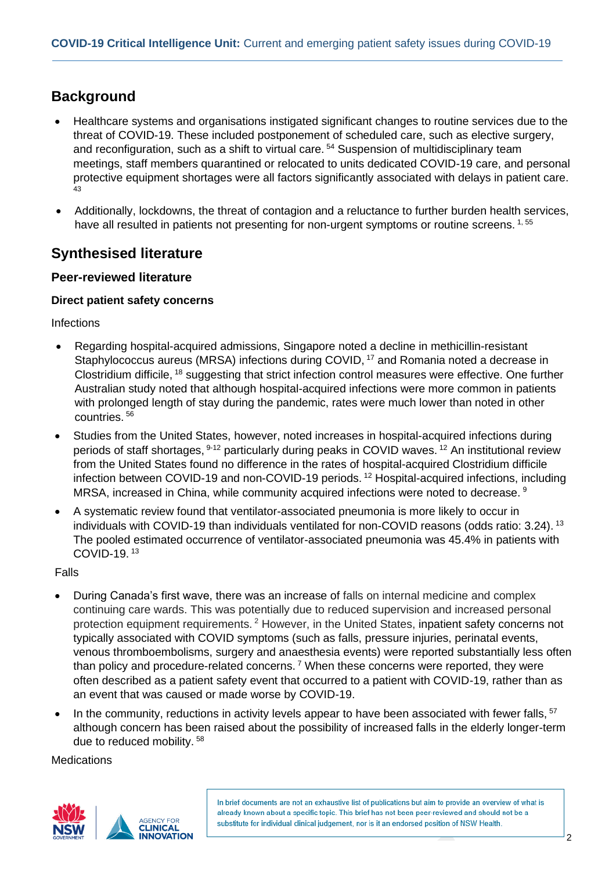## **Background**

- Healthcare systems and organisations instigated significant changes to routine services due to the threat of COVID-19. These included postponement of scheduled care, such as elective surgery, and reconfiguration, such as a shift to virtual care.<sup>54</sup> Suspension of multidisciplinary team meetings, staff members quarantined or relocated to units dedicated COVID-19 care, and personal protective equipment shortages were all factors significantly associated with delays in patient care. 43
- Additionally, lockdowns, the threat of contagion and a reluctance to further burden health services, have all resulted in patients not presenting for non-urgent symptoms or routine screens. 1, 55

### **Synthesised literature**

#### **Peer-reviewed literature**

#### **Direct patient safety concerns**

Infections

- Regarding hospital-acquired admissions, Singapore noted a decline in methicillin-resistant Staphylococcus aureus (MRSA) infections during COVID, <sup>17</sup> and Romania noted a decrease in Clostridium difficile, <sup>18</sup> suggesting that strict infection control measures were effective. One further Australian study noted that although hospital-acquired infections were more common in patients with prolonged length of stay during the pandemic, rates were much lower than noted in other countries. <sup>56</sup>
- Studies from the United States, however, noted increases in hospital-acquired infections during periods of staff shortages, <sup>9-12</sup> particularly during peaks in COVID waves. <sup>12</sup> An institutional review from the United States found no difference in the rates of hospital-acquired Clostridium difficile infection between COVID-19 and non-COVID-19 periods. <sup>12</sup> Hospital-acquired infections, including MRSA, increased in China, while community acquired infections were noted to decrease. <sup>9</sup>
- A systematic review found that ventilator-associated pneumonia is more likely to occur in individuals with COVID-19 than individuals ventilated for non-COVID reasons (odds ratio: 3.24). <sup>13</sup> The pooled estimated occurrence of ventilator-associated pneumonia was 45.4% in patients with COVID-19. <sup>13</sup>

Falls

- During Canada's first wave, there was an increase of falls on internal medicine and complex continuing care wards. This was potentially due to reduced supervision and increased personal protection equipment requirements. <sup>2</sup> However, in the United States, inpatient safety concerns not typically associated with COVID symptoms (such as falls, pressure injuries, perinatal events, venous thromboembolisms, surgery and anaesthesia events) were reported substantially less often than policy and procedure-related concerns. <sup>7</sup> When these concerns were reported, they were often described as a patient safety event that occurred to a patient with COVID-19, rather than as an event that was caused or made worse by COVID-19.
- In the community, reductions in activity levels appear to have been associated with fewer falls, <sup>57</sup> although concern has been raised about the possibility of increased falls in the elderly longer-term due to reduced mobility. <sup>58</sup>

**Medications** 

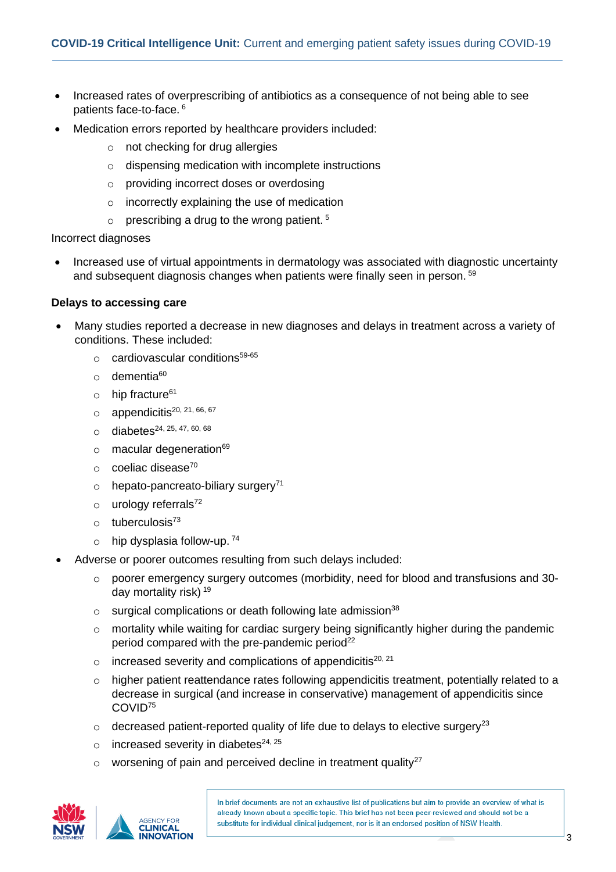- Increased rates of overprescribing of antibiotics as a consequence of not being able to see patients face-to-face. 6
- Medication errors reported by healthcare providers included:
	- o not checking for drug allergies
	- o dispensing medication with incomplete instructions
	- o providing incorrect doses or overdosing
	- o incorrectly explaining the use of medication
	- $\circ$  prescribing a drug to the wrong patient.<sup>5</sup>

Incorrect diagnoses

• Increased use of virtual appointments in dermatology was associated with diagnostic uncertainty and subsequent diagnosis changes when patients were finally seen in person. <sup>59</sup>

#### **Delays to accessing care**

- Many studies reported a decrease in new diagnoses and delays in treatment across a variety of conditions. These included:
	- $\circ$  cardiovascular conditions<sup>59-65</sup>
	- $\circ$  dementia<sup>60</sup>
	- $\circ$  hip fracture<sup>61</sup>
	- $\circ$  appendicitis<sup>20, 21, 66, 67</sup>
	- $\circ$  diabetes<sup>24, 25, 47, 60, 68</sup>
	- $\circ$  macular degeneration<sup>69</sup>
	- $\circ$  coeliac disease<sup>70</sup>
	- $\circ$  hepato-pancreato-biliary surgery<sup>71</sup>
	- $\circ$  urology referrals<sup>72</sup>
	- $o$  tuberculosis<sup>73</sup>
	- $\circ$  hip dysplasia follow-up.  $^{74}$
- Adverse or poorer outcomes resulting from such delays included:
	- o poorer emergency surgery outcomes (morbidity, need for blood and transfusions and 30 day mortality risk) <sup>19</sup>
	- $\circ$  surgical complications or death following late admission<sup>38</sup>
	- o mortality while waiting for cardiac surgery being significantly higher during the pandemic period compared with the pre-pandemic period<sup>22</sup>
	- $\circ$  increased severity and complications of appendicitis<sup>20, 21</sup>
	- $\circ$  higher patient reattendance rates following appendicitis treatment, potentially related to a decrease in surgical (and increase in conservative) management of appendicitis since COVID<sup>75</sup>
	- $\circ$  decreased patient-reported quality of life due to delays to elective surgery<sup>23</sup>
	- $\circ$  increased severity in diabetes<sup>24, 25</sup>
	- $\circ$  worsening of pain and perceived decline in treatment quality<sup>27</sup>



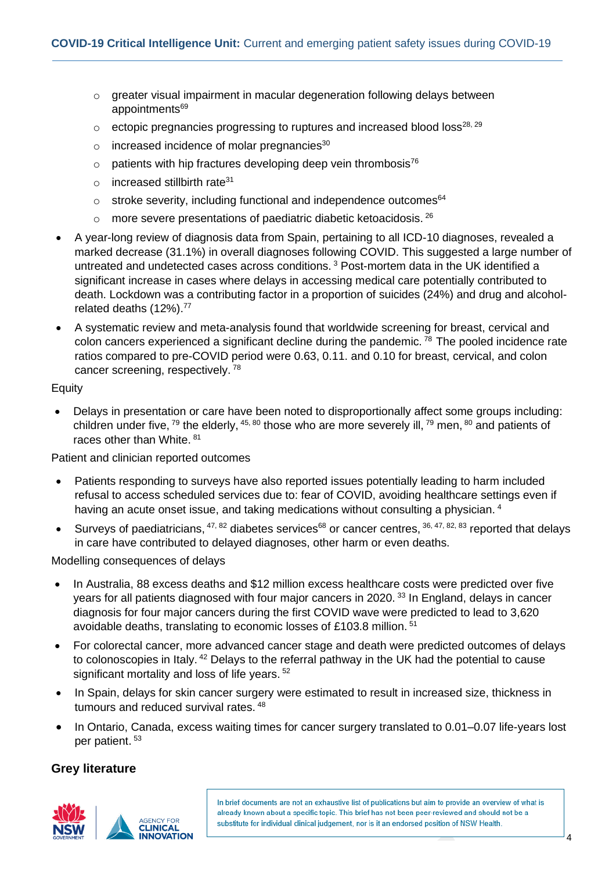- o greater visual impairment in macular degeneration following delays between appointments<sup>69</sup>
- $\circ$  ectopic pregnancies progressing to ruptures and increased blood loss<sup>28, 29</sup>
- $\circ$  increased incidence of molar pregnancies $30$
- $\circ$  patients with hip fractures developing deep vein thrombosis<sup>76</sup>
- $\circ$  increased stillbirth rate<sup>31</sup>
- $\circ$  stroke severity, including functional and independence outcomes $64$
- $\circ$  more severe presentations of paediatric diabetic ketoacidosis. 26
- A year-long review of diagnosis data from Spain, pertaining to all ICD-10 diagnoses, revealed a marked decrease (31.1%) in overall diagnoses following COVID. This suggested a large number of untreated and undetected cases across conditions. <sup>3</sup> Post-mortem data in the UK identified a significant increase in cases where delays in accessing medical care potentially contributed to death. Lockdown was a contributing factor in a proportion of suicides (24%) and drug and alcoholrelated deaths (12%).<sup>77</sup>
- A systematic review and meta-analysis found that worldwide screening for breast, cervical and colon cancers experienced a significant decline during the pandemic.  $\frac{78}{10}$  The pooled incidence rate ratios compared to pre-COVID period were 0.63, 0.11. and 0.10 for breast, cervical, and colon cancer screening, respectively. <sup>78</sup>

#### Equity

• Delays in presentation or care have been noted to disproportionally affect some groups including: children under five, <sup>79</sup> the elderly, <sup>45, 80</sup> those who are more severely ill, <sup>79</sup> men, <sup>80</sup> and patients of races other than White. <sup>81</sup>

Patient and clinician reported outcomes

- Patients responding to surveys have also reported issues potentially leading to harm included refusal to access scheduled services due to: fear of COVID, avoiding healthcare settings even if having an acute onset issue, and taking medications without consulting a physician.<sup>4</sup>
- Surveys of paediatricians,  $47,82$  diabetes services<sup>68</sup> or cancer centres,  $36,47,82,83$  reported that delays in care have contributed to delayed diagnoses, other harm or even deaths.

Modelling consequences of delays

- In Australia, 88 excess deaths and \$12 million excess healthcare costs were predicted over five years for all patients diagnosed with four major cancers in 2020.<sup>33</sup> In England, delays in cancer diagnosis for four major cancers during the first COVID wave were predicted to lead to 3,620 avoidable deaths, translating to economic losses of £103.8 million. <sup>51</sup>
- For colorectal cancer, more advanced cancer stage and death were predicted outcomes of delays to colonoscopies in Italy.<sup>42</sup> Delays to the referral pathway in the UK had the potential to cause significant mortality and loss of life years. <sup>52</sup>
- In Spain, delays for skin cancer surgery were estimated to result in increased size, thickness in tumours and reduced survival rates. <sup>48</sup>
- In Ontario, Canada, excess waiting times for cancer surgery translated to 0.01–0.07 life-years lost per patient. 53

#### **Grey literature**

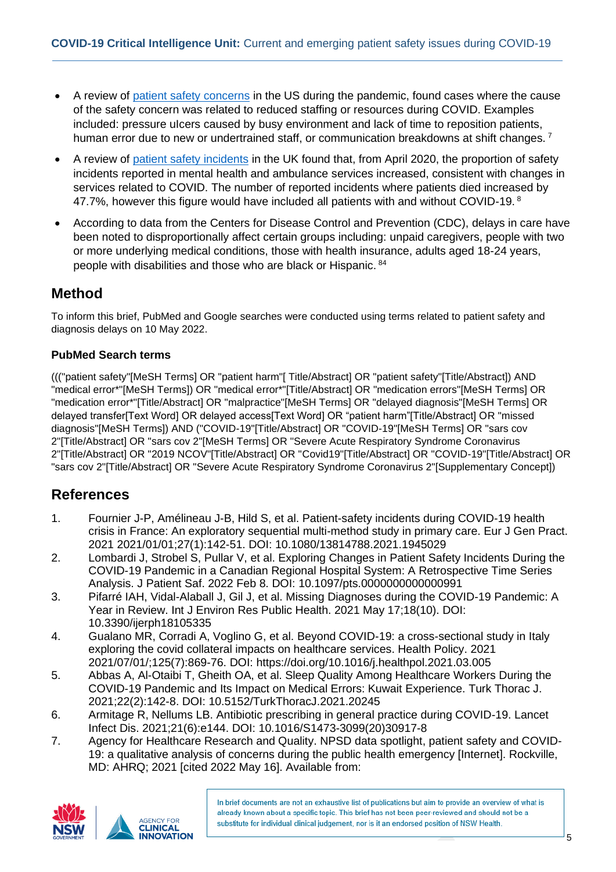- A review of [patient safety concerns](https://www.ahrq.gov/sites/default/files/wysiwyg/npsd/data/spotlights/spotlight-ptsafety-and-covid-19.pdf) in the US during the pandemic, found cases where the cause of the safety concern was related to reduced staffing or resources during COVID. Examples included: pressure uIcers caused by busy environment and lack of time to reposition patients, human error due to new or undertrained staff, or communication breakdowns at shift changes.<sup>7</sup>
- A review of patient [safety incidents](https://www.england.nhs.uk/publication/nrls-national-patient-safety-incident-reports-commentary-september-2021/) in the UK found that, from April 2020, the proportion of safety incidents reported in mental health and ambulance services increased, consistent with changes in services related to COVID. The number of reported incidents where patients died increased by 47.7%, however this figure would have included all patients with and without COVID-19.  $8$
- According to data from the Centers for Disease Control and Prevention (CDC), delays in care have been noted to disproportionally affect certain groups including: unpaid caregivers, people with two or more underlying medical conditions, those with health insurance, adults aged 18-24 years, people with disabilities and those who are black or Hispanic. <sup>84</sup>

### **Method**

To inform this brief, PubMed and Google searches were conducted using terms related to patient safety and diagnosis delays on 10 May 2022.

#### **PubMed Search terms**

((("patient safety"[MeSH Terms] OR "patient harm"[ Title/Abstract] OR "patient safety"[Title/Abstract]) AND "medical error\*"[MeSH Terms]) OR "medical error\*"[Title/Abstract] OR "medication errors"[MeSH Terms] OR "medication error\*"[Title/Abstract] OR "malpractice"[MeSH Terms] OR "delayed diagnosis"[MeSH Terms] OR delayed transfer[Text Word] OR delayed access[Text Word] OR "patient harm"[Title/Abstract] OR "missed diagnosis"[MeSH Terms]) AND ("COVID-19"[Title/Abstract] OR "COVID-19"[MeSH Terms] OR "sars cov 2"[Title/Abstract] OR "sars cov 2"[MeSH Terms] OR "Severe Acute Respiratory Syndrome Coronavirus 2"[Title/Abstract] OR "2019 NCOV"[Title/Abstract] OR "Covid19"[Title/Abstract] OR "COVID-19"[Title/Abstract] OR "sars cov 2"[Title/Abstract] OR "Severe Acute Respiratory Syndrome Coronavirus 2"[Supplementary Concept])

## **References**

- 1. Fournier J-P, Amélineau J-B, Hild S, et al. Patient-safety incidents during COVID-19 health crisis in France: An exploratory sequential multi-method study in primary care. Eur J Gen Pract. 2021 2021/01/01;27(1):142-51. DOI: 10.1080/13814788.2021.1945029
- 2. Lombardi J, Strobel S, Pullar V, et al. Exploring Changes in Patient Safety Incidents During the COVID-19 Pandemic in a Canadian Regional Hospital System: A Retrospective Time Series Analysis. J Patient Saf. 2022 Feb 8. DOI: 10.1097/pts.0000000000000991
- 3. Pifarré IAH, Vidal-Alaball J, Gil J, et al. Missing Diagnoses during the COVID-19 Pandemic: A Year in Review. Int J Environ Res Public Health. 2021 May 17;18(10). DOI: 10.3390/ijerph18105335
- 4. Gualano MR, Corradi A, Voglino G, et al. Beyond COVID-19: a cross-sectional study in Italy exploring the covid collateral impacts on healthcare services. Health Policy. 2021 2021/07/01/;125(7):869-76. DOI: https://doi.org/10.1016/j.healthpol.2021.03.005
- 5. Abbas A, Al-Otaibi T, Gheith OA, et al. Sleep Quality Among Healthcare Workers During the COVID-19 Pandemic and Its Impact on Medical Errors: Kuwait Experience. Turk Thorac J. 2021;22(2):142-8. DOI: 10.5152/TurkThoracJ.2021.20245
- 6. Armitage R, Nellums LB. Antibiotic prescribing in general practice during COVID-19. Lancet Infect Dis. 2021;21(6):e144. DOI: 10.1016/S1473-3099(20)30917-8
- 7. Agency for Healthcare Research and Quality. NPSD data spotlight, patient safety and COVID-19: a qualitative analysis of concerns during the public health emergency [Internet]. Rockville, MD: AHRQ; 2021 [cited 2022 May 16]. Available from:

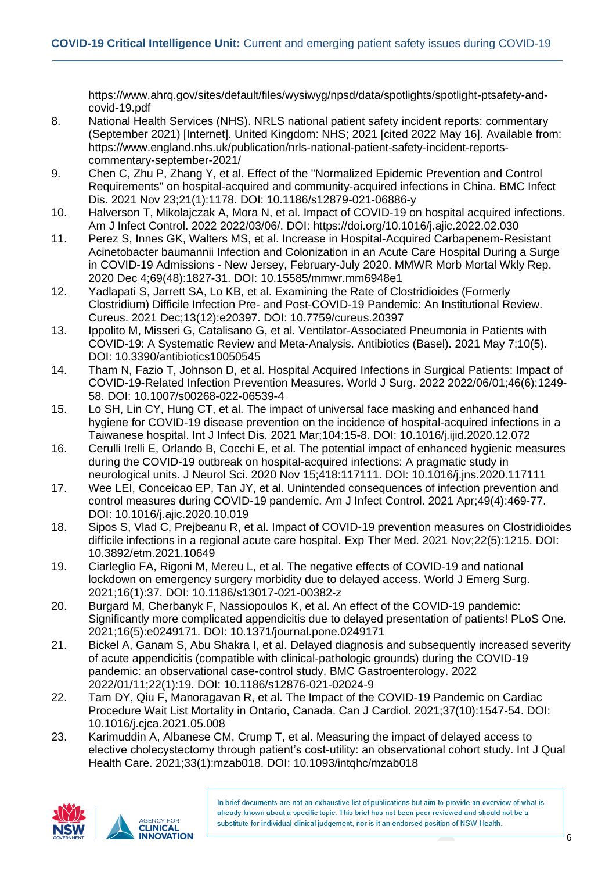https://www.ahrq.gov/sites/default/files/wysiwyg/npsd/data/spotlights/spotlight-ptsafety-andcovid-19.pdf

- 8. National Health Services (NHS). NRLS national patient safety incident reports: commentary (September 2021) [Internet]. United Kingdom: NHS; 2021 [cited 2022 May 16]. Available from: https://www.england.nhs.uk/publication/nrls-national-patient-safety-incident-reportscommentary-september-2021/
- 9. Chen C, Zhu P, Zhang Y, et al. Effect of the "Normalized Epidemic Prevention and Control Requirements" on hospital-acquired and community-acquired infections in China. BMC Infect Dis. 2021 Nov 23;21(1):1178. DOI: 10.1186/s12879-021-06886-y
- 10. Halverson T, Mikolajczak A, Mora N, et al. Impact of COVID-19 on hospital acquired infections. Am J Infect Control. 2022 2022/03/06/. DOI: https://doi.org/10.1016/j.ajic.2022.02.030
- 11. Perez S, Innes GK, Walters MS, et al. Increase in Hospital-Acquired Carbapenem-Resistant Acinetobacter baumannii Infection and Colonization in an Acute Care Hospital During a Surge in COVID-19 Admissions - New Jersey, February-July 2020. MMWR Morb Mortal Wkly Rep. 2020 Dec 4;69(48):1827-31. DOI: 10.15585/mmwr.mm6948e1
- 12. Yadlapati S, Jarrett SA, Lo KB, et al. Examining the Rate of Clostridioides (Formerly Clostridium) Difficile Infection Pre- and Post-COVID-19 Pandemic: An Institutional Review. Cureus. 2021 Dec;13(12):e20397. DOI: 10.7759/cureus.20397
- 13. Ippolito M, Misseri G, Catalisano G, et al. Ventilator-Associated Pneumonia in Patients with COVID-19: A Systematic Review and Meta-Analysis. Antibiotics (Basel). 2021 May 7;10(5). DOI: 10.3390/antibiotics10050545
- 14. Tham N, Fazio T, Johnson D, et al. Hospital Acquired Infections in Surgical Patients: Impact of COVID-19-Related Infection Prevention Measures. World J Surg. 2022 2022/06/01;46(6):1249- 58. DOI: 10.1007/s00268-022-06539-4
- 15. Lo SH, Lin CY, Hung CT, et al. The impact of universal face masking and enhanced hand hygiene for COVID-19 disease prevention on the incidence of hospital-acquired infections in a Taiwanese hospital. Int J Infect Dis. 2021 Mar;104:15-8. DOI: 10.1016/j.ijid.2020.12.072
- 16. Cerulli Irelli E, Orlando B, Cocchi E, et al. The potential impact of enhanced hygienic measures during the COVID-19 outbreak on hospital-acquired infections: A pragmatic study in neurological units. J Neurol Sci. 2020 Nov 15;418:117111. DOI: 10.1016/j.jns.2020.117111
- 17. Wee LEI, Conceicao EP, Tan JY, et al. Unintended consequences of infection prevention and control measures during COVID-19 pandemic. Am J Infect Control. 2021 Apr;49(4):469-77. DOI: 10.1016/j.ajic.2020.10.019
- 18. Sipos S, Vlad C, Prejbeanu R, et al. Impact of COVID-19 prevention measures on Clostridioides difficile infections in a regional acute care hospital. Exp Ther Med. 2021 Nov;22(5):1215. DOI: 10.3892/etm.2021.10649
- 19. Ciarleglio FA, Rigoni M, Mereu L, et al. The negative effects of COVID-19 and national lockdown on emergency surgery morbidity due to delayed access. World J Emerg Surg. 2021;16(1):37. DOI: 10.1186/s13017-021-00382-z
- 20. Burgard M, Cherbanyk F, Nassiopoulos K, et al. An effect of the COVID-19 pandemic: Significantly more complicated appendicitis due to delayed presentation of patients! PLoS One. 2021;16(5):e0249171. DOI: 10.1371/journal.pone.0249171
- 21. Bickel A, Ganam S, Abu Shakra I, et al. Delayed diagnosis and subsequently increased severity of acute appendicitis (compatible with clinical-pathologic grounds) during the COVID-19 pandemic: an observational case-control study. BMC Gastroenterology. 2022 2022/01/11;22(1):19. DOI: 10.1186/s12876-021-02024-9
- 22. Tam DY, Qiu F, Manoragavan R, et al. The Impact of the COVID-19 Pandemic on Cardiac Procedure Wait List Mortality in Ontario, Canada. Can J Cardiol. 2021;37(10):1547-54. DOI: 10.1016/j.cjca.2021.05.008
- 23. Karimuddin A, Albanese CM, Crump T, et al. Measuring the impact of delayed access to elective cholecystectomy through patient's cost-utility: an observational cohort study. Int J Qual Health Care. 2021;33(1):mzab018. DOI: 10.1093/intqhc/mzab018

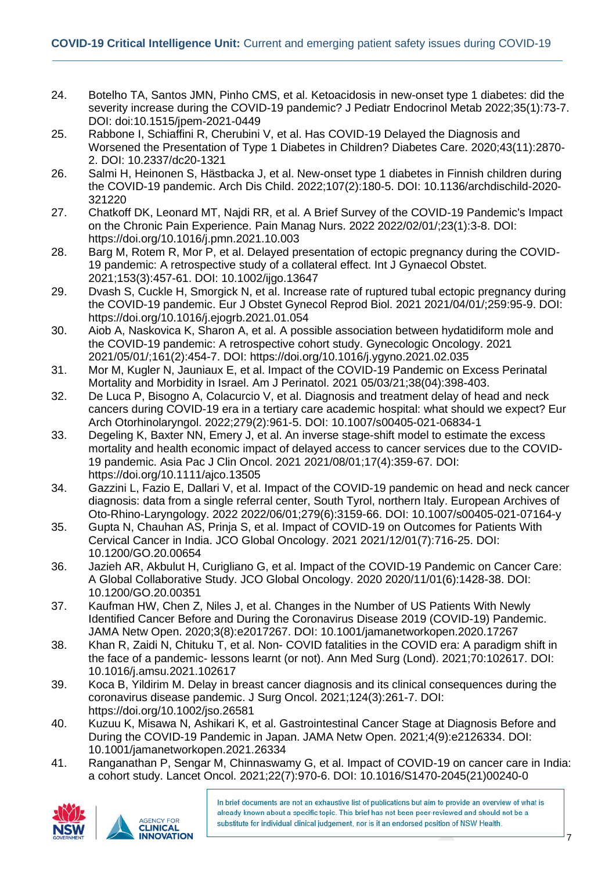- 24. Botelho TA, Santos JMN, Pinho CMS, et al. Ketoacidosis in new-onset type 1 diabetes: did the severity increase during the COVID-19 pandemic? J Pediatr Endocrinol Metab 2022;35(1):73-7. DOI: doi:10.1515/jpem-2021-0449
- 25. Rabbone I, Schiaffini R, Cherubini V, et al. Has COVID-19 Delayed the Diagnosis and Worsened the Presentation of Type 1 Diabetes in Children? Diabetes Care. 2020;43(11):2870- 2. DOI: 10.2337/dc20-1321
- 26. Salmi H, Heinonen S, Hästbacka J, et al. New-onset type 1 diabetes in Finnish children during the COVID-19 pandemic. Arch Dis Child. 2022;107(2):180-5. DOI: 10.1136/archdischild-2020- 321220
- 27. Chatkoff DK, Leonard MT, Najdi RR, et al. A Brief Survey of the COVID-19 Pandemic's Impact on the Chronic Pain Experience. Pain Manag Nurs. 2022 2022/02/01/;23(1):3-8. DOI: https://doi.org/10.1016/j.pmn.2021.10.003
- 28. Barg M, Rotem R, Mor P, et al. Delayed presentation of ectopic pregnancy during the COVID-19 pandemic: A retrospective study of a collateral effect. Int J Gynaecol Obstet. 2021;153(3):457-61. DOI: 10.1002/ijgo.13647
- 29. Dvash S, Cuckle H, Smorgick N, et al. Increase rate of ruptured tubal ectopic pregnancy during the COVID-19 pandemic. Eur J Obstet Gynecol Reprod Biol. 2021 2021/04/01/;259:95-9. DOI: https://doi.org/10.1016/j.ejogrb.2021.01.054
- 30. Aiob A, Naskovica K, Sharon A, et al. A possible association between hydatidiform mole and the COVID-19 pandemic: A retrospective cohort study. Gynecologic Oncology. 2021 2021/05/01/;161(2):454-7. DOI: https://doi.org/10.1016/j.ygyno.2021.02.035
- 31. Mor M, Kugler N, Jauniaux E, et al. Impact of the COVID-19 Pandemic on Excess Perinatal Mortality and Morbidity in Israel. Am J Perinatol. 2021 05/03/21;38(04):398-403.
- 32. De Luca P, Bisogno A, Colacurcio V, et al. Diagnosis and treatment delay of head and neck cancers during COVID-19 era in a tertiary care academic hospital: what should we expect? Eur Arch Otorhinolaryngol. 2022;279(2):961-5. DOI: 10.1007/s00405-021-06834-1
- 33. Degeling K, Baxter NN, Emery J, et al. An inverse stage-shift model to estimate the excess mortality and health economic impact of delayed access to cancer services due to the COVID-19 pandemic. Asia Pac J Clin Oncol. 2021 2021/08/01;17(4):359-67. DOI: https://doi.org/10.1111/ajco.13505
- 34. Gazzini L, Fazio E, Dallari V, et al. Impact of the COVID-19 pandemic on head and neck cancer diagnosis: data from a single referral center, South Tyrol, northern Italy. European Archives of Oto-Rhino-Laryngology. 2022 2022/06/01;279(6):3159-66. DOI: 10.1007/s00405-021-07164-y
- 35. Gupta N, Chauhan AS, Prinja S, et al. Impact of COVID-19 on Outcomes for Patients With Cervical Cancer in India. JCO Global Oncology. 2021 2021/12/01(7):716-25. DOI: 10.1200/GO.20.00654
- 36. Jazieh AR, Akbulut H, Curigliano G, et al. Impact of the COVID-19 Pandemic on Cancer Care: A Global Collaborative Study. JCO Global Oncology. 2020 2020/11/01(6):1428-38. DOI: 10.1200/GO.20.00351
- 37. Kaufman HW, Chen Z, Niles J, et al. Changes in the Number of US Patients With Newly Identified Cancer Before and During the Coronavirus Disease 2019 (COVID-19) Pandemic. JAMA Netw Open. 2020;3(8):e2017267. DOI: 10.1001/jamanetworkopen.2020.17267
- 38. Khan R, Zaidi N, Chituku T, et al. Non- COVID fatalities in the COVID era: A paradigm shift in the face of a pandemic- lessons learnt (or not). Ann Med Surg (Lond). 2021;70:102617. DOI: 10.1016/j.amsu.2021.102617
- 39. Koca B, Yildirim M. Delay in breast cancer diagnosis and its clinical consequences during the coronavirus disease pandemic. J Surg Oncol. 2021;124(3):261-7. DOI: https://doi.org/10.1002/jso.26581
- 40. Kuzuu K, Misawa N, Ashikari K, et al. Gastrointestinal Cancer Stage at Diagnosis Before and During the COVID-19 Pandemic in Japan. JAMA Netw Open. 2021;4(9):e2126334. DOI: 10.1001/jamanetworkopen.2021.26334
- 41. Ranganathan P, Sengar M, Chinnaswamy G, et al. Impact of COVID-19 on cancer care in India: a cohort study. Lancet Oncol. 2021;22(7):970-6. DOI: 10.1016/S1470-2045(21)00240-0



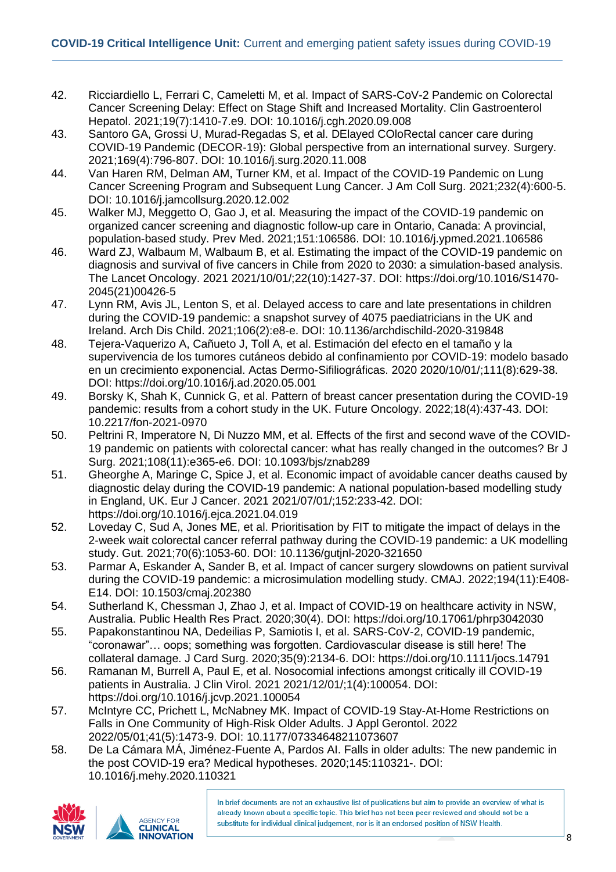- 42. Ricciardiello L, Ferrari C, Cameletti M, et al. Impact of SARS-CoV-2 Pandemic on Colorectal Cancer Screening Delay: Effect on Stage Shift and Increased Mortality. Clin Gastroenterol Hepatol. 2021;19(7):1410-7.e9. DOI: 10.1016/j.cgh.2020.09.008
- 43. Santoro GA, Grossi U, Murad-Regadas S, et al. DElayed COloRectal cancer care during COVID-19 Pandemic (DECOR-19): Global perspective from an international survey. Surgery. 2021;169(4):796-807. DOI: 10.1016/j.surg.2020.11.008
- 44. Van Haren RM, Delman AM, Turner KM, et al. Impact of the COVID-19 Pandemic on Lung Cancer Screening Program and Subsequent Lung Cancer. J Am Coll Surg. 2021;232(4):600-5. DOI: 10.1016/j.jamcollsurg.2020.12.002
- 45. Walker MJ, Meggetto O, Gao J, et al. Measuring the impact of the COVID-19 pandemic on organized cancer screening and diagnostic follow-up care in Ontario, Canada: A provincial, population-based study. Prev Med. 2021;151:106586. DOI: 10.1016/j.ypmed.2021.106586
- 46. Ward ZJ, Walbaum M, Walbaum B, et al. Estimating the impact of the COVID-19 pandemic on diagnosis and survival of five cancers in Chile from 2020 to 2030: a simulation-based analysis. The Lancet Oncology. 2021 2021/10/01/;22(10):1427-37. DOI: https://doi.org/10.1016/S1470- 2045(21)00426-5
- 47. Lynn RM, Avis JL, Lenton S, et al. Delayed access to care and late presentations in children during the COVID-19 pandemic: a snapshot survey of 4075 paediatricians in the UK and Ireland. Arch Dis Child. 2021;106(2):e8-e. DOI: 10.1136/archdischild-2020-319848
- 48. Tejera-Vaquerizo A, Cañueto J, Toll A, et al. Estimación del efecto en el tamaño y la supervivencia de los tumores cutáneos debido al confinamiento por COVID-19: modelo basado en un crecimiento exponencial. Actas Dermo-Sifiliográficas. 2020 2020/10/01/;111(8):629-38. DOI: https://doi.org/10.1016/j.ad.2020.05.001
- 49. Borsky K, Shah K, Cunnick G, et al. Pattern of breast cancer presentation during the COVID-19 pandemic: results from a cohort study in the UK. Future Oncology. 2022;18(4):437-43. DOI: 10.2217/fon-2021-0970
- 50. Peltrini R, Imperatore N, Di Nuzzo MM, et al. Effects of the first and second wave of the COVID-19 pandemic on patients with colorectal cancer: what has really changed in the outcomes? Br J Surg. 2021;108(11):e365-e6. DOI: 10.1093/bjs/znab289
- 51. Gheorghe A, Maringe C, Spice J, et al. Economic impact of avoidable cancer deaths caused by diagnostic delay during the COVID-19 pandemic: A national population-based modelling study in England, UK. Eur J Cancer. 2021 2021/07/01/;152:233-42. DOI: https://doi.org/10.1016/j.ejca.2021.04.019
- 52. Loveday C, Sud A, Jones ME, et al. Prioritisation by FIT to mitigate the impact of delays in the 2-week wait colorectal cancer referral pathway during the COVID-19 pandemic: a UK modelling study. Gut. 2021;70(6):1053-60. DOI: 10.1136/gutjnl-2020-321650
- 53. Parmar A, Eskander A, Sander B, et al. Impact of cancer surgery slowdowns on patient survival during the COVID-19 pandemic: a microsimulation modelling study. CMAJ. 2022;194(11):E408- E14. DOI: 10.1503/cmaj.202380
- 54. Sutherland K, Chessman J, Zhao J, et al. Impact of COVID-19 on healthcare activity in NSW, Australia. Public Health Res Pract. 2020;30(4). DOI: https://doi.org/10.17061/phrp3042030
- 55. Papakonstantinou NA, Dedeilias P, Samiotis I, et al. SARS-CoV-2, COVID-19 pandemic, "coronawar"… oops; something was forgotten. Cardiovascular disease is still here! The collateral damage. J Card Surg. 2020;35(9):2134-6. DOI: https://doi.org/10.1111/jocs.14791
- 56. Ramanan M, Burrell A, Paul E, et al. Nosocomial infections amongst critically ill COVID-19 patients in Australia. J Clin Virol. 2021 2021/12/01/;1(4):100054. DOI: https://doi.org/10.1016/j.jcvp.2021.100054
- 57. McIntyre CC, Prichett L, McNabney MK. Impact of COVID-19 Stay-At-Home Restrictions on Falls in One Community of High-Risk Older Adults. J Appl Gerontol. 2022 2022/05/01;41(5):1473-9. DOI: 10.1177/07334648211073607
- 58. De La Cámara MÁ, Jiménez-Fuente A, Pardos AI. Falls in older adults: The new pandemic in the post COVID-19 era? Medical hypotheses. 2020;145:110321-. DOI: 10.1016/j.mehy.2020.110321

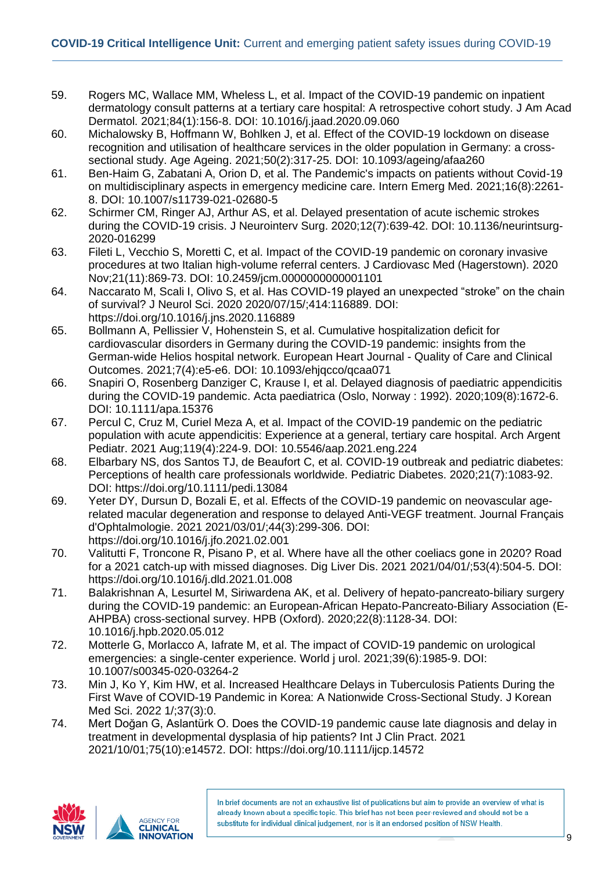- 59. Rogers MC, Wallace MM, Wheless L, et al. Impact of the COVID-19 pandemic on inpatient dermatology consult patterns at a tertiary care hospital: A retrospective cohort study. J Am Acad Dermatol. 2021;84(1):156-8. DOI: 10.1016/j.jaad.2020.09.060
- 60. Michalowsky B, Hoffmann W, Bohlken J, et al. Effect of the COVID-19 lockdown on disease recognition and utilisation of healthcare services in the older population in Germany: a crosssectional study. Age Ageing. 2021;50(2):317-25. DOI: 10.1093/ageing/afaa260
- 61. Ben-Haim G, Zabatani A, Orion D, et al. The Pandemic's impacts on patients without Covid-19 on multidisciplinary aspects in emergency medicine care. Intern Emerg Med. 2021;16(8):2261- 8. DOI: 10.1007/s11739-021-02680-5
- 62. Schirmer CM, Ringer AJ, Arthur AS, et al. Delayed presentation of acute ischemic strokes during the COVID-19 crisis. J Neurointerv Surg. 2020;12(7):639-42. DOI: 10.1136/neurintsurg-2020-016299
- 63. Fileti L, Vecchio S, Moretti C, et al. Impact of the COVID-19 pandemic on coronary invasive procedures at two Italian high-volume referral centers. J Cardiovasc Med (Hagerstown). 2020 Nov;21(11):869-73. DOI: 10.2459/jcm.0000000000001101
- 64. Naccarato M, Scali I, Olivo S, et al. Has COVID-19 played an unexpected "stroke" on the chain of survival? J Neurol Sci. 2020 2020/07/15/;414:116889. DOI: https://doi.org/10.1016/j.jns.2020.116889
- 65. Bollmann A, Pellissier V, Hohenstein S, et al. Cumulative hospitalization deficit for cardiovascular disorders in Germany during the COVID-19 pandemic: insights from the German-wide Helios hospital network. European Heart Journal - Quality of Care and Clinical Outcomes. 2021;7(4):e5-e6. DOI: 10.1093/ehjqcco/qcaa071
- 66. Snapiri O, Rosenberg Danziger C, Krause I, et al. Delayed diagnosis of paediatric appendicitis during the COVID-19 pandemic. Acta paediatrica (Oslo, Norway : 1992). 2020;109(8):1672-6. DOI: 10.1111/apa.15376
- 67. Percul C, Cruz M, Curiel Meza A, et al. Impact of the COVID-19 pandemic on the pediatric population with acute appendicitis: Experience at a general, tertiary care hospital. Arch Argent Pediatr. 2021 Aug;119(4):224-9. DOI: 10.5546/aap.2021.eng.224
- 68. Elbarbary NS, dos Santos TJ, de Beaufort C, et al. COVID-19 outbreak and pediatric diabetes: Perceptions of health care professionals worldwide. Pediatric Diabetes. 2020;21(7):1083-92. DOI: https://doi.org/10.1111/pedi.13084
- 69. Yeter DY, Dursun D, Bozali E, et al. Effects of the COVID-19 pandemic on neovascular agerelated macular degeneration and response to delayed Anti-VEGF treatment. Journal Français d'Ophtalmologie. 2021 2021/03/01/;44(3):299-306. DOI: https://doi.org/10.1016/j.jfo.2021.02.001
- 70. Valitutti F, Troncone R, Pisano P, et al. Where have all the other coeliacs gone in 2020? Road for a 2021 catch-up with missed diagnoses. Dig Liver Dis. 2021 2021/04/01/;53(4):504-5. DOI: https://doi.org/10.1016/j.dld.2021.01.008
- 71. Balakrishnan A, Lesurtel M, Siriwardena AK, et al. Delivery of hepato-pancreato-biliary surgery during the COVID-19 pandemic: an European-African Hepato-Pancreato-Biliary Association (E-AHPBA) cross-sectional survey. HPB (Oxford). 2020;22(8):1128-34. DOI: 10.1016/j.hpb.2020.05.012
- 72. Motterle G, Morlacco A, Iafrate M, et al. The impact of COVID-19 pandemic on urological emergencies: a single-center experience. World j urol. 2021;39(6):1985-9. DOI: 10.1007/s00345-020-03264-2
- 73. Min J, Ko Y, Kim HW, et al. Increased Healthcare Delays in Tuberculosis Patients During the First Wave of COVID-19 Pandemic in Korea: A Nationwide Cross-Sectional Study. J Korean Med Sci. 2022 1/;37(3):0.
- 74. Mert Doğan G, Aslantürk O. Does the COVID-19 pandemic cause late diagnosis and delay in treatment in developmental dysplasia of hip patients? Int J Clin Pract. 2021 2021/10/01;75(10):e14572. DOI: https://doi.org/10.1111/ijcp.14572